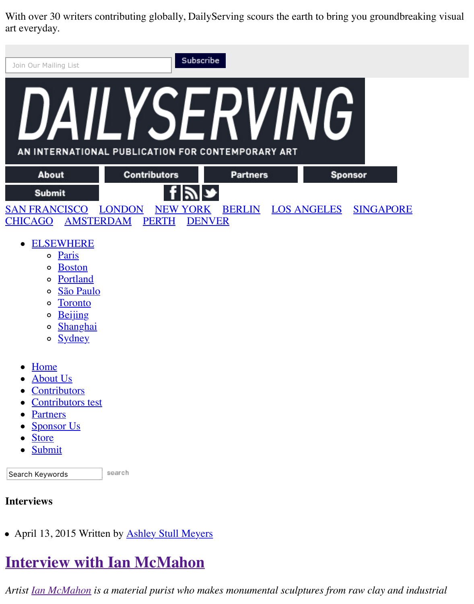With over 30 writers contributing globally, DailyServing scours the earth to bring you groundbreaking visual art everyday.

| Join Our Mailing List                                                                                                                                                                                                          |                                                  | Subscribe       |                           |                  |
|--------------------------------------------------------------------------------------------------------------------------------------------------------------------------------------------------------------------------------|--------------------------------------------------|-----------------|---------------------------|------------------|
| AN INTERNATIONAL PUBLICATION FOR CONTEMPORARY ART                                                                                                                                                                              |                                                  |                 |                           |                  |
| <b>About</b>                                                                                                                                                                                                                   | <b>Contributors</b>                              | <b>Partners</b> | <b>Sponsor</b>            |                  |
| <b>Submit</b>                                                                                                                                                                                                                  |                                                  |                 |                           |                  |
| <b>SAN FRANCISCO</b><br><b>AMSTERDAM</b><br><b>CHICAGO</b>                                                                                                                                                                     | <b>LONDON</b><br><b>NEW YORK</b><br><b>PERTH</b> | <b>DENVER</b>   | <b>BERLIN LOS ANGELES</b> | <b>SINGAPORE</b> |
| <b>ELSEWHERE</b><br>$\bullet$<br>Paris<br>$\circ$<br><b>Boston</b><br>$\circ$<br>Portland<br>$\circ$<br>São Paulo<br>$\circ$<br><b>Toronto</b><br>$\circ$<br><b>Beijing</b><br>$\circ$<br>Shanghai<br>$\mathsf{o}$<br>o Sydney |                                                  |                 |                           |                  |
| Home<br>$\bullet$<br><b>About Us</b><br>$\bullet$<br>Contributors<br>Contributors test<br><b>Partners</b><br>$\bullet$<br><b>Sponsor Us</b><br><b>Store</b><br>Submit<br>$\bullet$                                             |                                                  |                 |                           |                  |
| Search Keywords                                                                                                                                                                                                                | search                                           |                 |                           |                  |
| <b>Interviews</b>                                                                                                                                                                                                              |                                                  |                 |                           |                  |

• April 13, 2015 Written by **Ashley Stull Meyers** 

## **[Interview with Ian McMahon](http://dailyserving.com/2015/04/interview-with-ian-mcmahon/)**

*Artist [Ian McMahon](http://www.georgeianmcmahon.com/Gridmain.php) is a material purist who makes monumental sculptures from raw clay and industrial*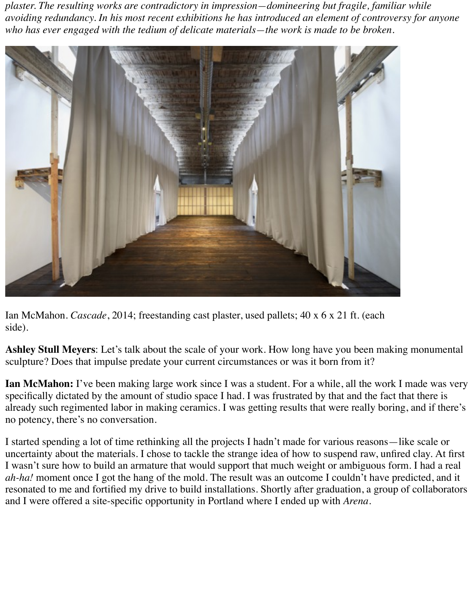*plaster. The resulting works are contradictory in impression—domineering but fragile, familiar while avoiding redundancy. In his most recent exhibitions he has introduced an element of controversy for anyone who has ever engaged with the tedium of delicate materials—the work is made to be broken.*



Ian McMahon. *Cascade*, 2014; freestanding cast plaster, used pallets; 40 x 6 x 21 ft. (each side).

**Ashley Stull Meyers**: Let's talk about the scale of your work. How long have you been making monumental sculpture? Does that impulse predate your current circumstances or was it born from it?

**Ian McMahon:** I've been making large work since I was a student. For a while, all the work I made was very specifically dictated by the amount of studio space I had. I was frustrated by that and the fact that there is already such regimented labor in making ceramics. I was getting results that were really boring, and if there's no potency, there's no conversation.

I started spending a lot of time rethinking all the projects I hadn't made for various reasons—like scale or uncertainty about the materials. I chose to tackle the strange idea of how to suspend raw, unfired clay. At first I wasn't sure how to build an armature that would support that much weight or ambiguous form. I had a real *ah-ha!* moment once I got the hang of the mold. The result was an outcome I couldn't have predicted, and it resonated to me and fortified my drive to build installations. Shortly after graduation, a group of collaborators and I were offered a site-specific opportunity in Portland where I ended up with *Arena*.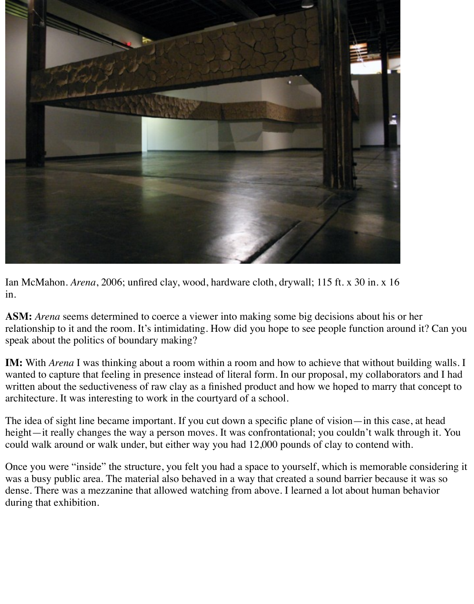

Ian McMahon. *Arena*, 2006; unfired clay, wood, hardware cloth, drywall; 115 ft. x 30 in. x 16 in.

**ASM:** *Arena* seems determined to coerce a viewer into making some big decisions about his or her relationship to it and the room. It's intimidating. How did you hope to see people function around it? Can you speak about the politics of boundary making?

**IM:** With *Arena* I was thinking about a room within a room and how to achieve that without building walls. I wanted to capture that feeling in presence instead of literal form. In our proposal, my collaborators and I had written about the seductiveness of raw clay as a finished product and how we hoped to marry that concept to architecture. It was interesting to work in the courtyard of a school.

The idea of sight line became important. If you cut down a specific plane of vision—in this case, at head height—it really changes the way a person moves. It was confrontational; you couldn't walk through it. You could walk around or walk under, but either way you had 12,000 pounds of clay to contend with.

Once you were "inside" the structure, you felt you had a space to yourself, which is memorable considering it was a busy public area. The material also behaved in a way that created a sound barrier because it was so dense. There was a mezzanine that allowed watching from above. I learned a lot about human behavior during that exhibition.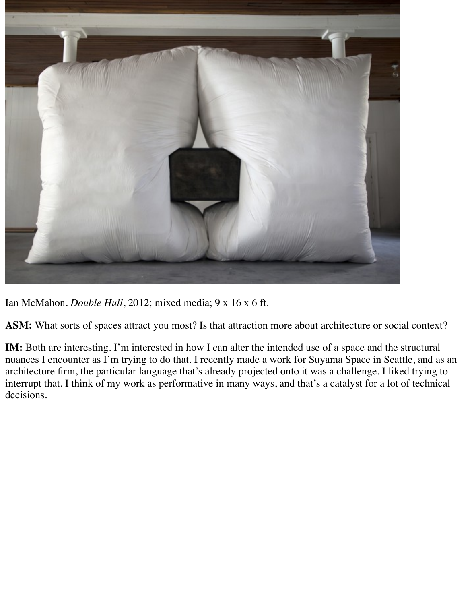

Ian McMahon. *Double Hull*, 2012; mixed media; 9 x 16 x 6 ft.

**ASM:** What sorts of spaces attract you most? Is that attraction more about architecture or social context?

**IM:** Both are interesting. I'm interested in how I can alter the intended use of a space and the structural nuances I encounter as I'm trying to do that. I recently made a work for Suyama Space in Seattle, and as an architecture firm, the particular language that's already projected onto it was a challenge. I liked trying to interrupt that. I think of my work as performative in many ways, and that's a catalyst for a lot of technical decisions.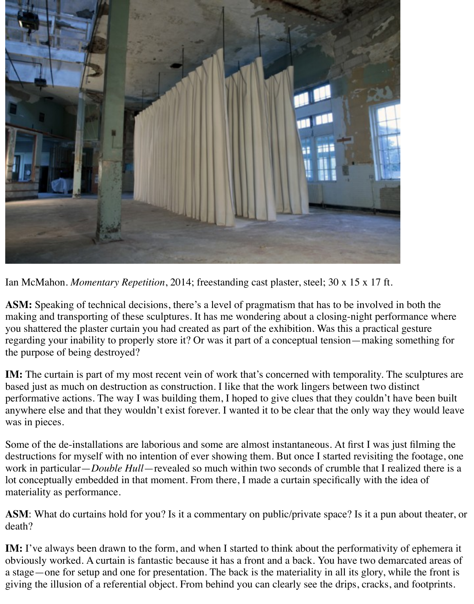

Ian McMahon. *Momentary Repetition*, 2014; freestanding cast plaster, steel; 30 x 15 x 17 ft.

**ASM:** Speaking of technical decisions, there's a level of pragmatism that has to be involved in both the making and transporting of these sculptures. It has me wondering about a closing-night performance where you shattered the plaster curtain you had created as part of the exhibition. Was this a practical gesture regarding your inability to properly store it? Or was it part of a conceptual tension—making something for the purpose of being destroyed?

**IM:** The curtain is part of my most recent vein of work that's concerned with temporality. The sculptures are based just as much on destruction as construction. I like that the work lingers between two distinct performative actions. The way I was building them, I hoped to give clues that they couldn't have been built anywhere else and that they wouldn't exist forever. I wanted it to be clear that the only way they would leave was in pieces.

Some of the de-installations are laborious and some are almost instantaneous. At first I was just filming the destructions for myself with no intention of ever showing them. But once I started revisiting the footage, one work in particular—*Double Hull*—revealed so much within two seconds of crumble that I realized there is a lot conceptually embedded in that moment. From there, I made a curtain specifically with the idea of materiality as performance.

**ASM**: What do curtains hold for you? Is it a commentary on public/private space? Is it a pun about theater, or death?

**IM:** I've always been drawn to the form, and when I started to think about the performativity of ephemera it obviously worked. A curtain is fantastic because it has a front and a back. You have two demarcated areas of a stage—one for setup and one for presentation. The back is the materiality in all its glory, while the front is giving the illusion of a referential object. From behind you can clearly see the drips, cracks, and footprints.